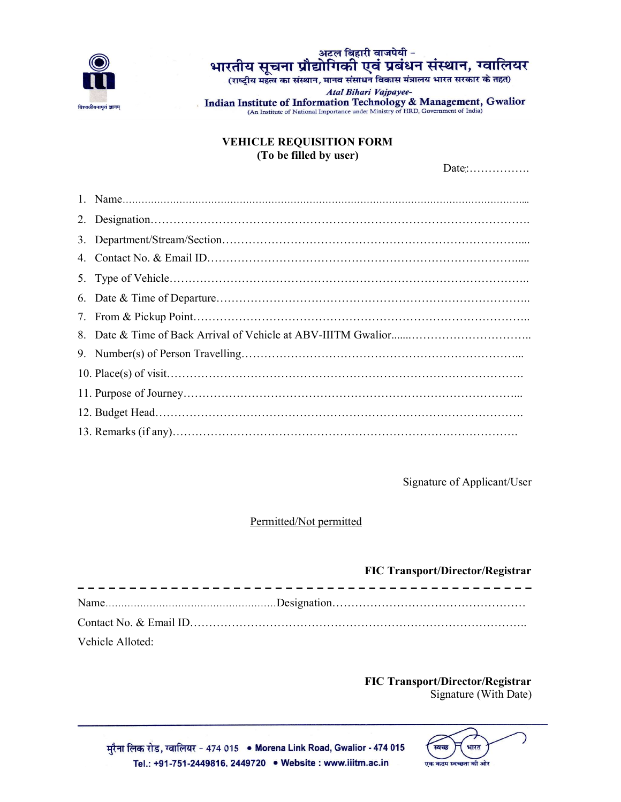

## अटल बिहारी वाजपेयी -भारतीय सूचना प्रौद्योगिकी एवं प्रबंधन संस्थान, ग्वालियर

(राष्ट्रीय महत्व का संस्थान, मानव संसाधन विकास मंत्रालय भारत सरकार के तहत)

Atal Bihari Vajpayee-Indian Institute of Information Technology & Management, Gwalior<br>(An Institute of National Importance under Ministry of HRD, Government of India)

## VEHICLE REQUISITION FORM (To be filled by user)

Date:................

Signature of Applicant/User

## Permitted/Not permitted

|                  | <b>FIC Transport/Director/Registrar</b> |  |
|------------------|-----------------------------------------|--|
|                  |                                         |  |
|                  |                                         |  |
| Vehicle Alloted: |                                         |  |

FIC Transport/Director/Registrar Signature (With Date)

भारत एक कदम स्वच्छता की ओर

मुरैना लिक रोड, ग्वालियर - 474 015 • Morena Link Road, Gwalior - 474 015 Tel.: +91-751-2449816, 2449720 . Website : www.iiitm.ac.in